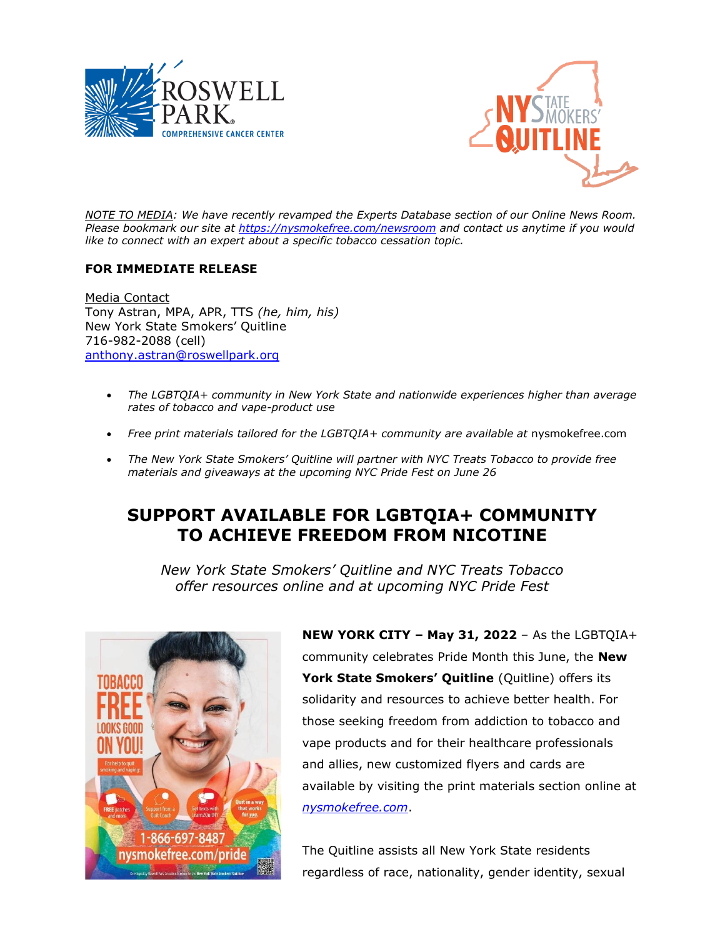



*NOTE TO MEDIA: We have recently revamped the Experts Database section of our Online News Room. Please bookmark our site at<https://nysmokefree.com/newsroom> and contact us anytime if you would like to connect with an expert about a specific tobacco cessation topic.* 

## **FOR IMMEDIATE RELEASE**

Media Contact Tony Astran, MPA, APR, TTS *(he, him, his)* New York State Smokers' Quitline 716-982-2088 (cell) [anthony.astran@roswellpark.org](mailto:anthony.astran@roswellpark.org)

- *The LGBTQIA+ community in New York State and nationwide experiences higher than average rates of tobacco and vape-product use*
- Free print materials tailored for the LGBTQIA+ community are available at nysmokefree.com
- *The New York State Smokers' Quitline will partner with NYC Treats Tobacco to provide free materials and giveaways at the upcoming NYC Pride Fest on June 26*

## **SUPPORT AVAILABLE FOR LGBTQIA+ COMMUNITY TO ACHIEVE FREEDOM FROM NICOTINE**

*New York State Smokers' Quitline and NYC Treats Tobacco offer resources online and at upcoming NYC Pride Fest*



**NEW YORK CITY – May 31, 2022** – As the LGBTQIA+ community celebrates Pride Month this June, the **New York State Smokers' Quitline** (Quitline) offers its solidarity and resources to achieve better health. For those seeking freedom from addiction to tobacco and vape products and for their healthcare professionals and allies, new customized flyers and cards are available by visiting the print materials section online at *[nysmokefree.com](https://nysmokefree.com/ToolsAndResources/Print)*.

The Quitline assists all New York State residents regardless of race, nationality, gender identity, sexual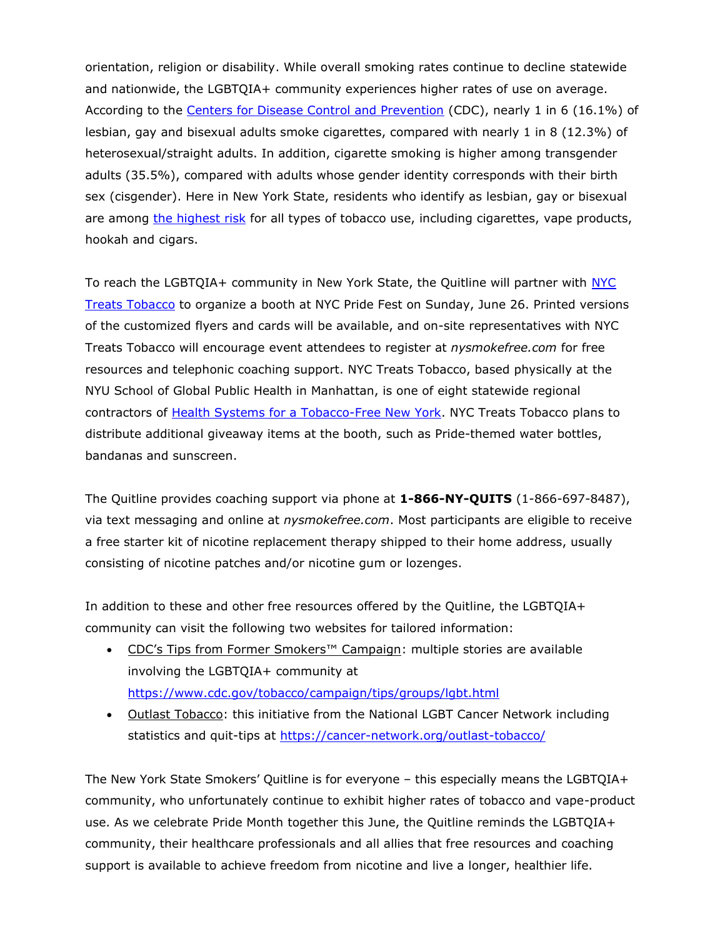orientation, religion or disability. While overall smoking rates continue to decline statewide and nationwide, the LGBTQIA+ community experiences higher rates of use on average. According to the [Centers for Disease Control and Prevention](https://www.cdc.gov/tobacco/campaign/tips/groups/lgbt.html) (CDC), nearly 1 in 6 (16.1%) of lesbian, gay and bisexual adults smoke cigarettes, compared with nearly 1 in 8 (12.3%) of heterosexual/straight adults. In addition, cigarette smoking is higher among transgender adults (35.5%), compared with adults whose gender identity corresponds with their birth sex (cisgender). Here in New York State, residents who identify as lesbian, gay or bisexual are among [the highest risk](https://www.health.ny.gov/prevention/tobacco_control/reports/docs/2018_nys_tobacco_use_differences.pdf) for all types of tobacco use, including cigarettes, vape products, hookah and cigars.

To reach the LGBTQIA+ community in New York State, the Quitline will partner with NYC [Treats Tobacco](https://publichealth.nyu.edu/w/nyctt) to organize a booth at NYC Pride Fest on Sunday, June 26. Printed versions of the customized flyers and cards will be available, and on-site representatives with NYC Treats Tobacco will encourage event attendees to register at *nysmokefree.com* for free resources and telephonic coaching support. NYC Treats Tobacco, based physically at the NYU School of Global Public Health in Manhattan, is one of eight statewide regional contractors of [Health Systems for a Tobacco-Free New York.](https://www.health.ny.gov/prevention/tobacco_control/program_components.htm) NYC Treats Tobacco plans to distribute additional giveaway items at the booth, such as Pride-themed water bottles, bandanas and sunscreen.

The Quitline provides coaching support via phone at **1-866-NY-QUITS** (1-866-697-8487), via text messaging and online at *nysmokefree.com*. Most participants are eligible to receive a free starter kit of nicotine replacement therapy shipped to their home address, usually consisting of nicotine patches and/or nicotine gum or lozenges.

In addition to these and other free resources offered by the Quitline, the LGBTQIA+ community can visit the following two websites for tailored information:

- CDC's Tips from Former Smokers<sup>™</sup> Campaign: multiple stories are available involving the LGBTQIA+ community at <https://www.cdc.gov/tobacco/campaign/tips/groups/lgbt.html>
- Outlast Tobacco: this initiative from the National LGBT Cancer Network including statistics and quit-tips at<https://cancer-network.org/outlast-tobacco/>

The New York State Smokers' Quitline is for everyone – this especially means the LGBTQIA+ community, who unfortunately continue to exhibit higher rates of tobacco and vape-product use. As we celebrate Pride Month together this June, the Quitline reminds the LGBTQIA+ community, their healthcare professionals and all allies that free resources and coaching support is available to achieve freedom from nicotine and live a longer, healthier life.